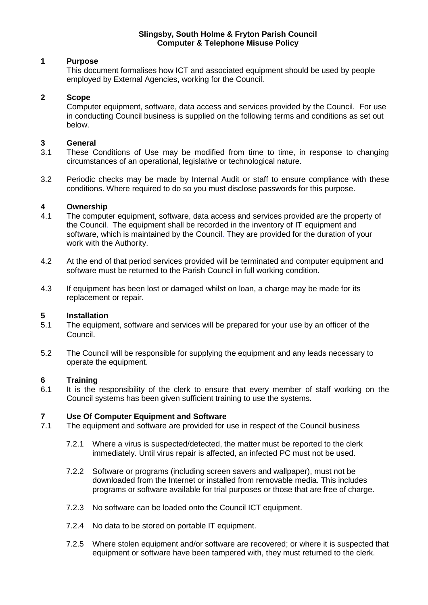#### **Slingsby, South Holme & Fryton Parish Council Computer & Telephone Misuse Policy**

# **1 Purpose**

This document formalises how ICT and associated equipment should be used by people employed by External Agencies, working for the Council.

#### **2 Scope**

Computer equipment, software, data access and services provided by the Council. For use in conducting Council business is supplied on the following terms and conditions as set out below.

#### **3 General**

- 3.1 These Conditions of Use may be modified from time to time, in response to changing circumstances of an operational, legislative or technological nature.
- 3.2 Periodic checks may be made by Internal Audit or staff to ensure compliance with these conditions. Where required to do so you must disclose passwords for this purpose.

#### **4 Ownership**

- 4.1 The computer equipment, software, data access and services provided are the property of the Council. The equipment shall be recorded in the inventory of IT equipment and software, which is maintained by the Council. They are provided for the duration of your work with the Authority.
- 4.2 At the end of that period services provided will be terminated and computer equipment and software must be returned to the Parish Council in full working condition.
- 4.3 If equipment has been lost or damaged whilst on loan, a charge may be made for its replacement or repair.

#### **5 Installation**

- 5.1 The equipment, software and services will be prepared for your use by an officer of the Council.
- 5.2 The Council will be responsible for supplying the equipment and any leads necessary to operate the equipment.

#### **6 Training**

6.1 It is the responsibility of the clerk to ensure that every member of staff working on the Council systems has been given sufficient training to use the systems.

# **7 Use Of Computer Equipment and Software**

- The equipment and software are provided for use in respect of the Council business
	- 7.2.1 Where a virus is suspected/detected, the matter must be reported to the clerk immediately. Until virus repair is affected, an infected PC must not be used.
	- 7.2.2 Software or programs (including screen savers and wallpaper), must not be downloaded from the Internet or installed from removable media. This includes programs or software available for trial purposes or those that are free of charge.
	- 7.2.3 No software can be loaded onto the Council ICT equipment.
	- 7.2.4 No data to be stored on portable IT equipment.
	- 7.2.5 Where stolen equipment and/or software are recovered; or where it is suspected that equipment or software have been tampered with, they must returned to the clerk.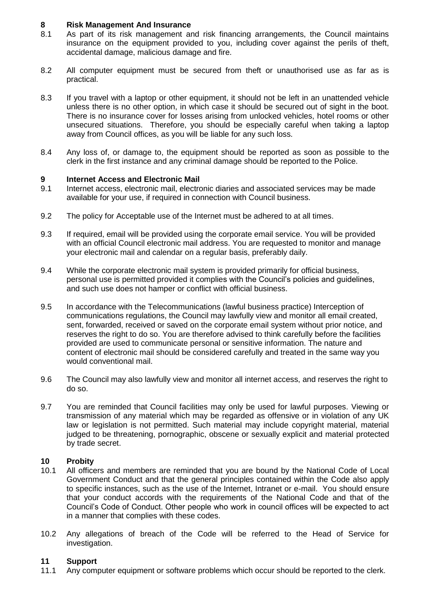# **8 Risk Management And Insurance**

- 8.1 As part of its risk management and risk financing arrangements, the Council maintains insurance on the equipment provided to you, including cover against the perils of theft, accidental damage, malicious damage and fire.
- 8.2 All computer equipment must be secured from theft or unauthorised use as far as is practical.
- 8.3 If you travel with a laptop or other equipment, it should not be left in an unattended vehicle unless there is no other option, in which case it should be secured out of sight in the boot. There is no insurance cover for losses arising from unlocked vehicles, hotel rooms or other unsecured situations. Therefore, you should be especially careful when taking a laptop away from Council offices, as you will be liable for any such loss.
- 8.4 Any loss of, or damage to, the equipment should be reported as soon as possible to the clerk in the first instance and any criminal damage should be reported to the Police.

# **9 Internet Access and Electronic Mail**

- 9.1 Internet access, electronic mail, electronic diaries and associated services may be made available for your use, if required in connection with Council business.
- 9.2 The policy for Acceptable use of the Internet must be adhered to at all times.
- 9.3 If required, email will be provided using the corporate email service. You will be provided with an official Council electronic mail address. You are requested to monitor and manage your electronic mail and calendar on a regular basis, preferably daily.
- 9.4 While the corporate electronic mail system is provided primarily for official business, personal use is permitted provided it complies with the Council's policies and guidelines, and such use does not hamper or conflict with official business.
- 9.5 In accordance with the Telecommunications (lawful business practice) Interception of communications regulations, the Council may lawfully view and monitor all email created, sent, forwarded, received or saved on the corporate email system without prior notice, and reserves the right to do so. You are therefore advised to think carefully before the facilities provided are used to communicate personal or sensitive information. The nature and content of electronic mail should be considered carefully and treated in the same way you would conventional mail.
- 9.6 The Council may also lawfully view and monitor all internet access, and reserves the right to do so.
- 9.7 You are reminded that Council facilities may only be used for lawful purposes. Viewing or transmission of any material which may be regarded as offensive or in violation of any UK law or legislation is not permitted. Such material may include copyright material, material judged to be threatening, pornographic, obscene or sexually explicit and material protected by trade secret.

# **10 Probity**

- 10.1 All officers and members are reminded that you are bound by the National Code of Local Government Conduct and that the general principles contained within the Code also apply to specific instances, such as the use of the Internet, Intranet or e-mail. You should ensure that your conduct accords with the requirements of the National Code and that of the Council's Code of Conduct. Other people who work in council offices will be expected to act in a manner that complies with these codes.
- 10.2 Any allegations of breach of the Code will be referred to the Head of Service for investigation.

# **11 Support**

11.1 Any computer equipment or software problems which occur should be reported to the clerk.